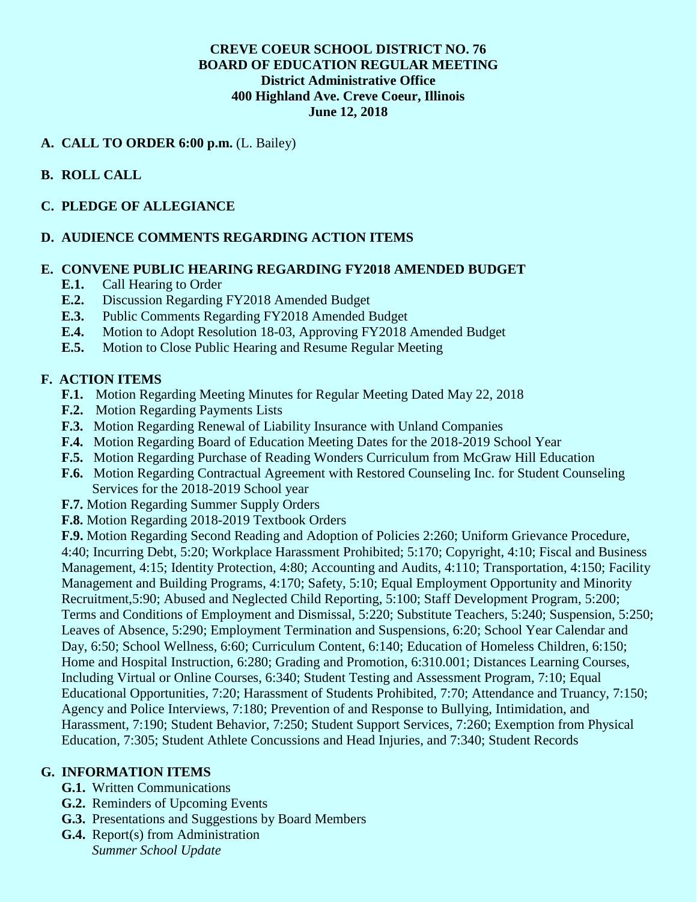## **CREVE COEUR SCHOOL DISTRICT NO. 76 BOARD OF EDUCATION REGULAR MEETING District Administrative Office 400 Highland Ave. Creve Coeur, Illinois June 12, 2018**

## **A. CALL TO ORDER 6:00 p.m.** (L. Bailey)

## **B. ROLL CALL**

## **C. PLEDGE OF ALLEGIANCE**

### **D. AUDIENCE COMMENTS REGARDING ACTION ITEMS**

#### **E. CONVENE PUBLIC HEARING REGARDING FY2018 AMENDED BUDGET**

- **E.1.** Call Hearing to Order
- **E.2.** Discussion Regarding FY2018 Amended Budget
- **E.3.** Public Comments Regarding FY2018 Amended Budget
- **E.4.** Motion to Adopt Resolution 18-03, Approving FY2018 Amended Budget
- **E.5.** Motion to Close Public Hearing and Resume Regular Meeting

### **F. ACTION ITEMS**

- **F.1.** Motion Regarding Meeting Minutes for Regular Meeting Dated May 22, 2018
- **F.2.** Motion Regarding Payments Lists
- **F.3.** Motion Regarding Renewal of Liability Insurance with Unland Companies
- **F.4.** Motion Regarding Board of Education Meeting Dates for the 2018-2019 School Year
- **F.5.** Motion Regarding Purchase of Reading Wonders Curriculum from McGraw Hill Education
- **F.6.** Motion Regarding Contractual Agreement with Restored Counseling Inc. for Student Counseling Services for the 2018-2019 School year
- **F.7.** Motion Regarding Summer Supply Orders
- **F.8.** Motion Regarding 2018-2019 Textbook Orders

**F.9.** Motion Regarding Second Reading and Adoption of Policies 2:260; Uniform Grievance Procedure, 4:40; Incurring Debt, 5:20; Workplace Harassment Prohibited; 5:170; Copyright, 4:10; Fiscal and Business Management, 4:15; Identity Protection, 4:80; Accounting and Audits, 4:110; Transportation, 4:150; Facility Management and Building Programs, 4:170; Safety, 5:10; Equal Employment Opportunity and Minority Recruitment,5:90; Abused and Neglected Child Reporting, 5:100; Staff Development Program, 5:200; Terms and Conditions of Employment and Dismissal, 5:220; Substitute Teachers, 5:240; Suspension, 5:250; Leaves of Absence, 5:290; Employment Termination and Suspensions, 6:20; School Year Calendar and Day, 6:50; School Wellness, 6:60; Curriculum Content, 6:140; Education of Homeless Children, 6:150; Home and Hospital Instruction, 6:280; Grading and Promotion, 6:310.001; Distances Learning Courses, Including Virtual or Online Courses, 6:340; Student Testing and Assessment Program, 7:10; Equal Educational Opportunities, 7:20; Harassment of Students Prohibited, 7:70; Attendance and Truancy, 7:150; Agency and Police Interviews, 7:180; Prevention of and Response to Bullying, Intimidation, and Harassment, 7:190; Student Behavior, 7:250; Student Support Services, 7:260; Exemption from Physical Education, 7:305; Student Athlete Concussions and Head Injuries, and 7:340; Student Records

#### **G. INFORMATION ITEMS**

- **G.1.** Written Communications
- **G.2.** Reminders of Upcoming Events
- **G.3.** Presentations and Suggestions by Board Members
- **G.4.** Report(s) from Administration *Summer School Update*